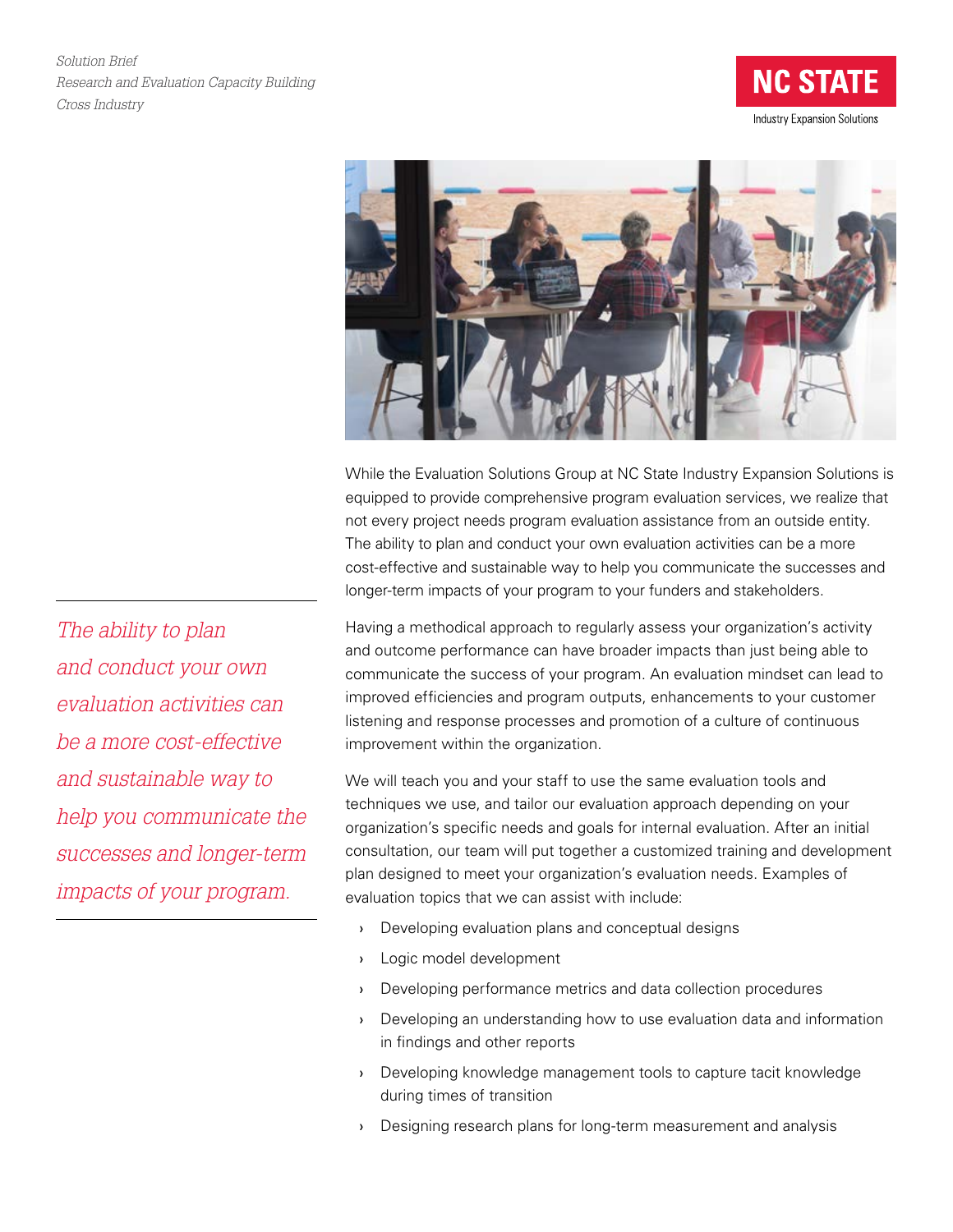*Solution Brief Research and Evaluation Capacity Building Cross Industry*





While the Evaluation Solutions Group at NC State Industry Expansion Solutions is equipped to provide comprehensive program evaluation services, we realize that not every project needs program evaluation assistance from an outside entity. The ability to plan and conduct your own evaluation activities can be a more cost-effective and sustainable way to help you communicate the successes and longer-term impacts of your program to your funders and stakeholders.

Having a methodical approach to regularly assess your organization's activity and outcome performance can have broader impacts than just being able to communicate the success of your program. An evaluation mindset can lead to improved efficiencies and program outputs, enhancements to your customer listening and response processes and promotion of a culture of continuous improvement within the organization.

We will teach you and your staff to use the same evaluation tools and techniques we use, and tailor our evaluation approach depending on your organization's specific needs and goals for internal evaluation. After an initial consultation, our team will put together a customized training and development plan designed to meet your organization's evaluation needs. Examples of evaluation topics that we can assist with include:

- › Developing evaluation plans and conceptual designs
- › Logic model development
- › Developing performance metrics and data collection procedures
- › Developing an understanding how to use evaluation data and information in findings and other reports
- › Developing knowledge management tools to capture tacit knowledge during times of transition
- › Designing research plans for long-term measurement and analysis

*The ability to plan and conduct your own evaluation activities can be a more cost-effective and sustainable way to help you communicate the successes and longer-term impacts of your program.*